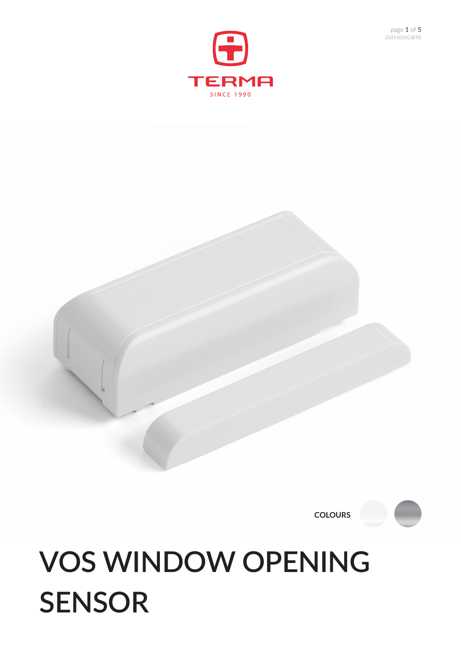## **VOS WINDOW OPENING SENSOR**

**COLOURS**





G

**TERMA** 

20211021CIBTO page 1 of 5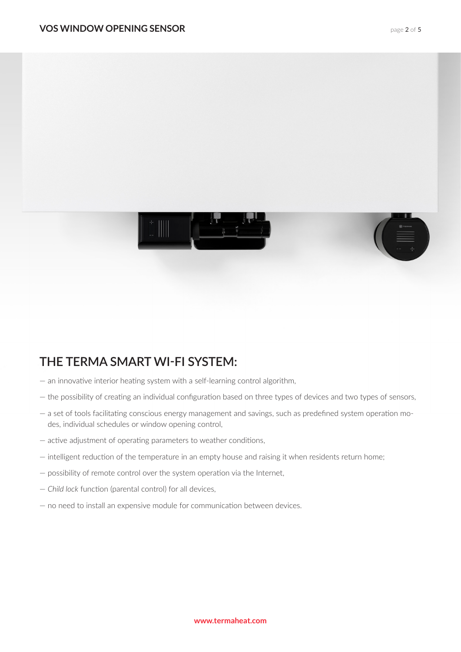



## **THE TERMA SMART WI-FI SYSTEM:**

- an innovative interior heating system with a self-learning control algorithm,
- the possibility of creating an individual configuration based on three types of devices and two types of sensors,
- a set of tools facilitating conscious energy management and savings, such as predefined system operation modes, individual schedules or window opening control,
- active adjustment of operating parameters to weather conditions,
- intelligent reduction of the temperature in an empty house and raising it when residents return home;
- possibility of remote control over the system operation via the Internet,
- *Child lock* function (parental control) for all devices,
- no need to install an expensive module for communication between devices.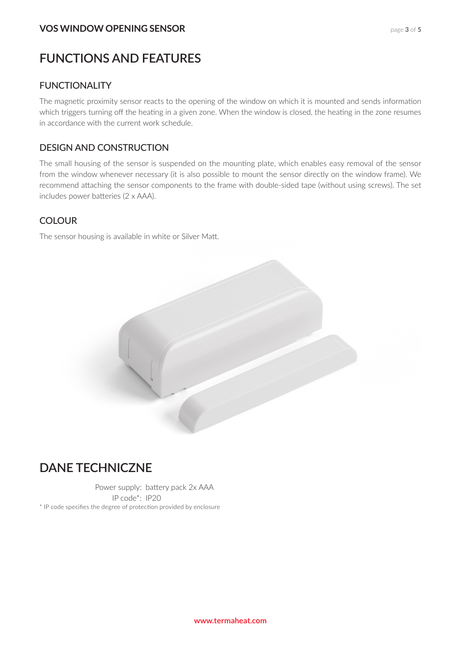#### **FUNCTIONS AND FEATURES**

#### FUNCTIONALITY

The magnetic proximity sensor reacts to the opening of the window on which it is mounted and sends information which triggers turning off the heating in a given zone. When the window is closed, the heating in the zone resumes in accordance with the current work schedule.

#### DESIGN AND CONSTRUCTION

The small housing of the sensor is suspended on the mounting plate, which enables easy removal of the sensor from the window whenever necessary (it is also possible to mount the sensor directly on the window frame). We recommend attaching the sensor components to the frame with double-sided tape (without using screws). The set includes power batteries (2 x AAA).

#### **COLOUR**

The sensor housing is available in white or Silver Matt.



#### **DANE TECHNICZNE**

Power supply: battery pack 2x AAA IP code\*: IP20 \* IP code specifies the degree of protection provided by enclosure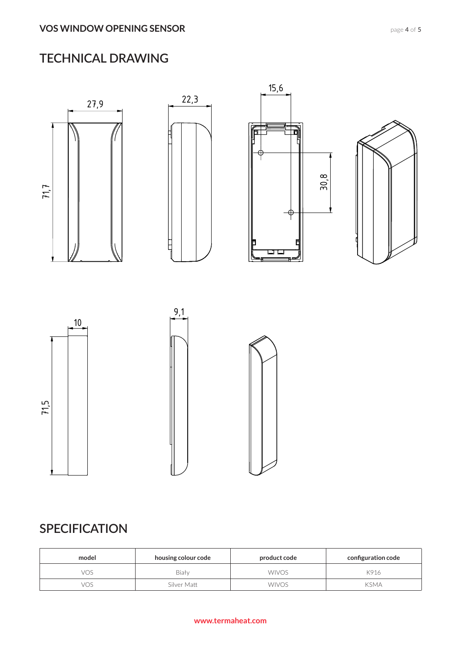## **TECHNICAL DRAWING**



## **SPECIFICATION**

| model | housing colour code | product code | configuration code |
|-------|---------------------|--------------|--------------------|
| vos   | Biały               | <b>WIVOS</b> | K916               |
| vos   | Silver Matt         | <b>WIVOS</b> | <b>KSMA</b>        |